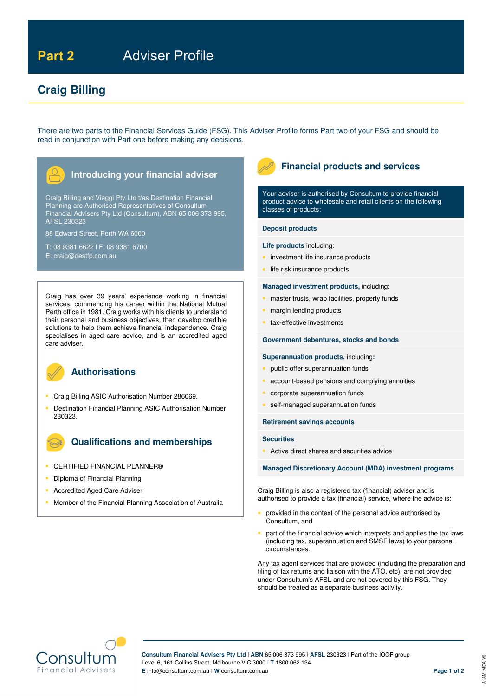# Part 2 **Adviser Profile**

# **Craig Billing**

There are two parts to the Financial Services Guide (FSG). This Adviser Profile forms Part two of your FSG and should be read in conjunction with Part one before making any decisions.



Craig Billing and Viaggi Pty Ltd t/as Destination Financial Planning are Authorised Representatives of Consultum Financial Advisers Pty Ltd (Consultum), ABN 65 006 373 995, AFSL 230323

88 Edward Street, Perth WA 6000

T: 08 9381 6622 l F: 08 9381 6700 E: craig@destfp.com.au

Craig has over 39 years' experience working in financial services, commencing his career within the National Mutual Perth office in 1981. Craig works with his clients to understand their personal and business objectives, then develop credible solutions to help them achieve financial independence. Craig specialises in aged care advice, and is an accredited aged care adviser.



# **Authorisations**

- **Craig Billing ASIC Authorisation Number 286069.**
- Destination Financial Planning ASIC Authorisation Number 230323.

# **Qualifications and memberships**

- **CERTIFIED FINANCIAL PLANNER®**
- **Diploma of Financial Planning**
- **Accredited Aged Care Adviser**
- Member of the Financial Planning Association of Australia



# **Financial products and services**

Your adviser is authorised by Consultum to provide financial product advice to wholesale and retail clients on the following classes of products:

#### **Deposit products**

#### **Life products** including:

- investment life insurance products
- life risk insurance products

## **Managed investment products,** including:

- master trusts, wrap facilities, property funds
- **n** margin lending products
- tax-effective investments

# **Government debentures, stocks and bonds**

### **Superannuation products,** including**:**

- public offer superannuation funds
- account-based pensions and complying annuities
- corporate superannuation funds
- self-managed superannuation funds

## **Retirement savings accounts**

### **Securities**

Active direct shares and securities advice

**Managed Discretionary Account (MDA) investment programs** 

Craig Billing is also a registered tax (financial) adviser and is authorised to provide a tax (financial) service, where the advice is:

- provided in the context of the personal advice authorised by Consultum, and
- part of the financial advice which interprets and applies the tax laws (including tax, superannuation and SMSF laws) to your personal circumstances.

Any tax agent services that are provided (including the preparation and filing of tax returns and liaison with the ATO, etc), are not provided under Consultum's AFSL and are not covered by this FSG. They should be treated as a separate business activity.